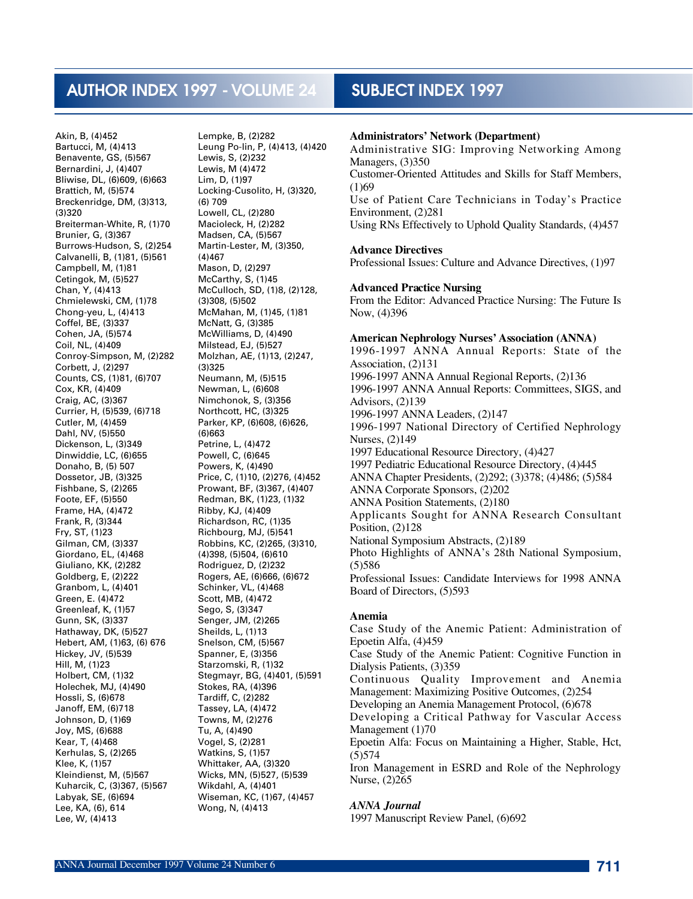# AUTHOR INDEX 1997 - VOLUME 24 SUBJECT INDEX 1997

Akin, B, (4)452 Bartucci, M, (4)413 Benavente, GS, (5)567 Bernardini, J, (4)407 Bliwise, DL, (6)609, (6)663 Brattich, M, (5)574 Breckenridge, DM, (3)313, (3)320 Breiterman-White, R, (1)70 Brunier, G, (3)367 Burrows-Hudson, S, (2)254 Calvanelli, B, (1)81, (5)561 Campbell, M, (1)81 Cetingok, M, (5)527 Chan, Y, (4)413 Chmielewski, CM, (1)78 Chong-yeu, L, (4)413 Coffel, BE, (3)337 Cohen, JA, (5)574 Coil, NL, (4)409 Conroy-Simpson, M, (2)282 Corbett, J, (2)297 Counts, CS, (1)81, (6)707 Cox, KR, (4)409 Craig, AC, (3)367 Currier, H, (5)539, (6)718 Cutler, M, (4)459 Dahl, NV, (5)550 Dickenson, L, (3)349 Dinwiddie, LC, (6)655 Donaho, B, (5) 507 Dossetor, JB, (3)325 Fishbane, S, (2)265 Foote, EF, (5)550 Frame, HA, (4)472 Frank, R, (3)344 Fry, ST, (1)23 Gilman, CM, (3)337 Giordano, EL, (4)468 Giuliano, KK, (2)282 Goldberg, E, (2)222 Granbom, L, (4)401 Green, E. (4)472 Greenleaf, K, (1)57 Gunn, SK, (3)337 Hathaway, DK, (5)527 Hebert, AM, (1)63, (6) 676 Hickey, JV, (5)539 Hill, M, (1)23 Holbert, CM, (1)32 Holechek, MJ, (4)490 Hossli, S, (6)678 Janoff, EM, (6)718 Johnson, D, (1)69 Joy, MS, (6)688 Kear, T, (4)468 Kerhulas, S, (2)265 Klee, K, (1)57 Kleindienst, M, (5)567 Kuharcik, C, (3)367, (5)567 Labyak, SE, (6)694 Lee, KA, (6), 614 Lee, W, (4)413

Lempke, B, (2)282 Leung Po-lin, P, (4)413, (4)420 Lewis, S, (2)232 Lewis, M (4)472 Lim, D, (1)97 Locking-Cusolito, H, (3)320, (6) 709 Lowell, CL, (2)280 Macioleck, H, (2)282 Madsen, CA, (5)567 Martin-Lester, M, (3)350, (4)467 Mason, D, (2)297 McCarthy, S, (1)45 McCulloch, SD, (1)8, (2)128, (3)308, (5)502 McMahan, M, (1)45, (1)81 McNatt, G, (3)385 McWilliams, D, (4)490 Milstead, EJ, (5)527 Molzhan, AE, (1)13, (2)247, (3)325 Neumann, M, (5)515 Newman, L, (6)608 Nimchonok, S, (3)356 Northcott, HC, (3)325 Parker, KP, (6)608, (6)626, (6)663 Petrine, L, (4)472 Powell, C, (6)645 Powers, K, (4)490 Price, C, (1)10, (2)276, (4)452 Prowant, BF, (3)367, (4)407 Redman, BK, (1)23, (1)32 Ribby, KJ, (4)409 Richardson, RC, (1)35 Richbourg, MJ, (5)541 Robbins, KC, (2)265, (3)310, (4)398, (5)504, (6)610 Rodriguez, D, (2)232 Rogers, AE, (6)666, (6)672 Schinker, VL, (4)468 Scott, MB, (4)472 Sego, S, (3)347 Senger, JM, (2)265 Sheilds, L, (1)13 Snelson, CM, (5)567 Spanner, E, (3)356 Starzomski, R, (1)32 Stegmayr, BG, (4)401, (5)591 Stokes, RA, (4)396 Tardiff, C, (2)282 Tassey, LA, (4)472 Towns, M, (2)276 Tu, A, (4)490 Vogel, S, (2)281 Watkins, S, (1)57 Whittaker, AA, (3)320 Wicks, MN, (5)527, (5)539 Wikdahl, A, (4)401 Wiseman, KC, (1)67, (4)457 Wong, N, (4)413

#### **Administrators' Network (Department)**

Administrative SIG: Improving Networking Among Managers, (3)350 Customer-Oriented Attitudes and Skills for Staff Members,  $(1)69$ Use of Patient Care Technicians in Today's Practice Environment, (2)281 Using RNs Effectively to Uphold Quality Standards, (4)457

#### **Advance Directives**

Professional Issues: Culture and Advance Directives, (1)97

#### **Advanced Practice Nursing**

From the Editor: Advanced Practice Nursing: The Future Is Now, (4)396

#### **American Nephrology Nurses' Association (ANNA)**

1996-1997 ANNA Annual Reports: State of the Association, (2)131 1996-1997 ANNA Annual Regional Reports, (2)136 1996-1997 ANNA Annual Reports: Committees, SIGS, and Advisors, (2)139 1996-1997 ANNA Leaders, (2)147 1996-1997 National Directory of Certified Nephrology Nurses, (2)149 1997 Educational Resource Directory, (4)427 1997 Pediatric Educational Resource Directory, (4)445 ANNA Chapter Presidents, (2)292; (3)378; (4)486; (5)584 ANNA Corporate Sponsors, (2)202 ANNA Position Statements, (2)180 Applicants Sought for ANNA Research Consultant Position, (2)128 National Symposium Abstracts, (2)189 Photo Highlights of ANNA's 28th National Symposium,  $(5)$  586 Professional Issues: Candidate Interviews for 1998 ANNA Board of Directors, (5)593

#### **A n e m i a**

Case Study of the Anemic Patient: Administration of Epoetin Alfa, (4)459 Case Study of the Anemic Patient: Cognitive Function in

Dialysis Patients, (3)359

Continuous Quality Improvement and Anemia Management: Maximizing Positive Outcomes, (2)254

Developing an Anemia Management Protocol, (6)678

Developing a Critical Pathway for Vascular Access Management (1)70

Epoetin Alfa: Focus on Maintaining a Higher, Stable, Hct,  $(5)$ 574

Iron Management in ESRD and Role of the Nephrology Nurse, (2)265

#### *ANNA Journal*

1997 Manuscript Review Panel, (6)692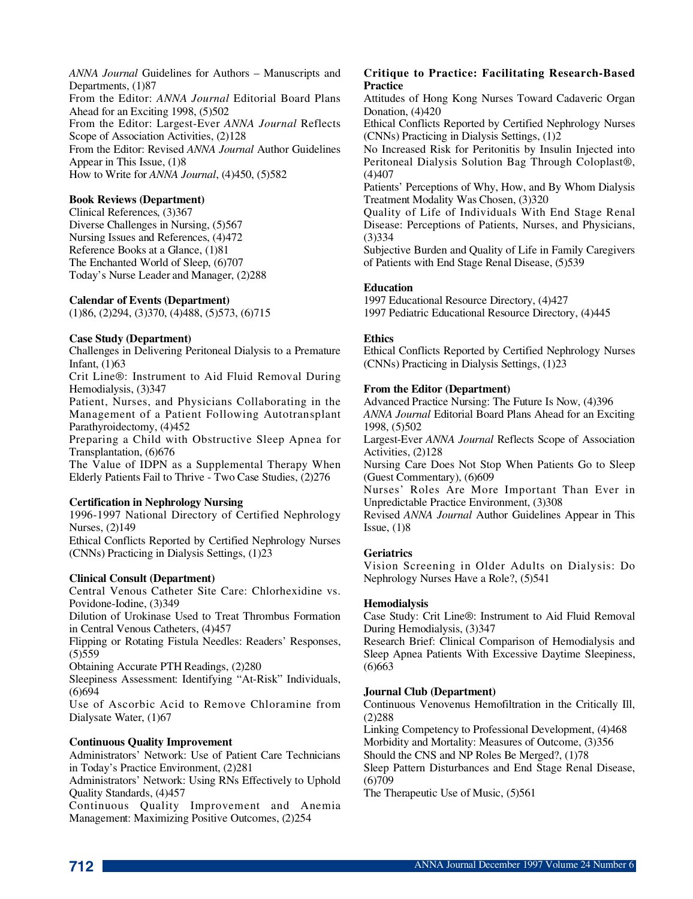*ANNA Journal* Guidelines for Authors – Manuscripts and Departments, (1)87 From the Editor: *ANNA Journal* Editorial Board Plans Ahead for an Exciting 1998, (5)502 From the Editor: Largest-Ever *ANNA Journal* Reflects Scope of Association Activities, (2)128 From the Editor: Revised *ANNA Journal* Author Guidelines Appear in This Issue, (1)8 How to Write for *ANNA Journal*, (4)450, (5)582

#### **Book Reviews (Department)**

Clinical References, (3)367 Diverse Challenges in Nursing, (5)567 Nursing Issues and References, (4)472 Reference Books at a Glance, (1)81 The Enchanted World of Sleep, (6)707 Today's Nurse Leader and Manager, (2)288

#### **Calendar of Events (Department)**

(1)86, (2)294, (3)370, (4)488, (5)573, (6)715

#### **Case Study (Department)**

Challenges in Delivering Peritoneal Dialysis to a Premature Infant, (1)63

Crit Line®: Instrument to Aid Fluid Removal During Hemodialysis, (3)347

Patient, Nurses, and Physicians Collaborating in the Management of a Patient Following Autotransplant Parathyroidectomy, (4)452

Preparing a Child with Obstructive Sleep Apnea for Transplantation, (6)676

The Value of IDPN as a Supplemental Therapy When Elderly Patients Fail to Thrive - Two Case Studies, (2)276

#### **Certification in Nephrology Nursing**

1996-1997 National Directory of Certified Nephrology Nurses, (2)149

Ethical Conflicts Reported by Certified Nephrology Nurses (CNNs) Practicing in Dialysis Settings, (1)23

# **Clinical Consult (Department)**

Central Venous Catheter Site Care: Chlorhexidine vs. Povidone-Iodine, (3)349

Dilution of Urokinase Used to Treat Thrombus Formation in Central Venous Catheters, (4)457

Flipping or Rotating Fistula Needles: Readers' Responses,  $(5)559$ 

Obtaining Accurate PTH Readings, (2)280

Sleepiness Assessment: Identifying "At-Risk" Individuals,  $(6)694$ 

Use of Ascorbic Acid to Remove Chloramine from Dialysate Water, (1)67

# **Continuous Quality Improvement**

Administrators' Network: Use of Patient Care Technicians in Today's Practice Environment, (2)281

Administrators' Network: Using RNs Effectively to Uphold Quality Standards, (4)457

Continuous Quality Improvement and Anemia Management: Maximizing Positive Outcomes, (2)254

#### **Critique to Practice: Facilitating Research-Based Practice**

Attitudes of Hong Kong Nurses Toward Cadaveric Organ Donation, (4)420

Ethical Conflicts Reported by Certified Nephrology Nurses (CNNs) Practicing in Dialysis Settings, (1)2

No Increased Risk for Peritonitis by Insulin Injected into Peritoneal Dialysis Solution Bag Through Coloplast®,  $(4)407$ 

Patients' Perceptions of Why, How, and By Whom Dialysis Treatment Modality Was Chosen, (3)320

Quality of Life of Individuals With End Stage Renal Disease: Perceptions of Patients, Nurses, and Physicians,  $(3)334$ 

Subjective Burden and Quality of Life in Family Caregivers of Patients with End Stage Renal Disease, (5)539

#### **Education**

1997 Educational Resource Directory, (4)427 1997 Pediatric Educational Resource Directory, (4)445

#### **Ethics**

Ethical Conflicts Reported by Certified Nephrology Nurses (CNNs) Practicing in Dialysis Settings, (1)23

#### **From the Editor (Department)**

Advanced Practice Nursing: The Future Is Now, (4)396 *ANNA Journal* Editorial Board Plans Ahead for an Exciting 1998, (5)502

Largest-Ever *ANNA Journal* Reflects Scope of Association Activities, (2)128

Nursing Care Does Not Stop When Patients Go to Sleep (Guest Commentary), (6)609

Nurses' Roles Are More Important Than Ever in Unpredictable Practice Environment, (3)308

Revised *ANNA Journal* Author Guidelines Appear in This Issue,  $(1)8$ 

#### **Geriatrics**

Vision Screening in Older Adults on Dialysis: Do Nephrology Nurses Have a Role?, (5)541

# **Hemodialysis**

Case Study: Crit Line®: Instrument to Aid Fluid Removal During Hemodialysis, (3)347

Research Brief: Clinical Comparison of Hemodialysis and Sleep Apnea Patients With Excessive Daytime Sleepiness,  $(6)$  663

#### **Journal Club (Department)**

Continuous Venovenus Hemofiltration in the Critically Ill,  $(2)$  288

Linking Competency to Professional Development, (4)468 Morbidity and Mortality: Measures of Outcome, (3)356 Should the CNS and NP Roles Be Merged?, (1)78

Sleep Pattern Disturbances and End Stage Renal Disease,  $(6)709$ 

The Therapeutic Use of Music, (5)561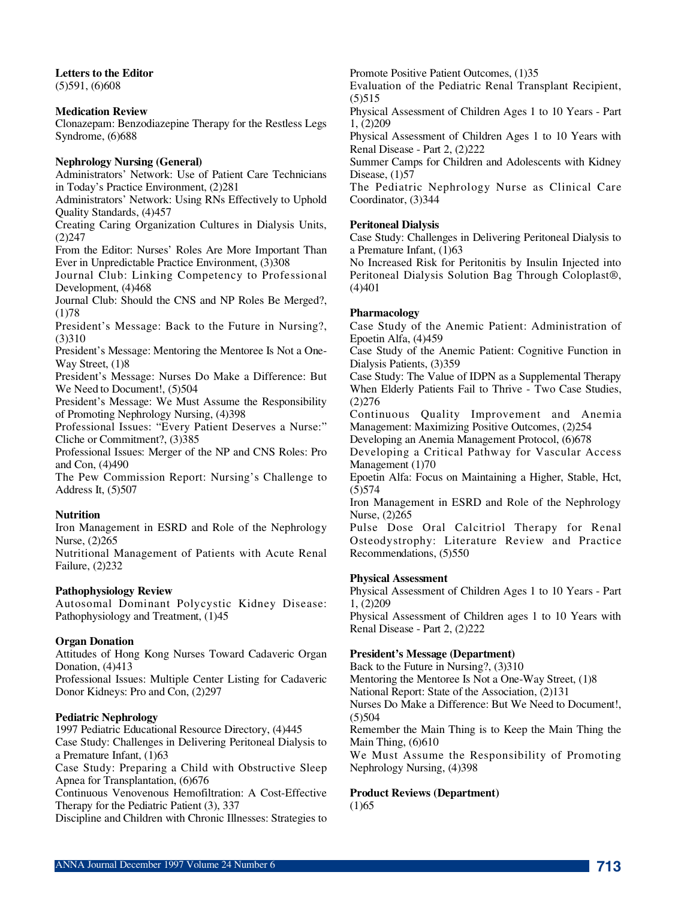**Letters to the Editor** (5)591, (6)608

#### **Medication Review**

Clonazepam: Benzodiazepine Therapy for the Restless Legs Syndrome, (6)688

#### **Nephrology Nursing (General)**

Administrators' Network: Use of Patient Care Technicians in Today's Practice Environment, (2)281

Administrators' Network: Using RNs Effectively to Uphold Quality Standards, (4)457

Creating Caring Organization Cultures in Dialysis Units,  $(2)$  247

From the Editor: Nurses' Roles Are More Important Than Ever in Unpredictable Practice Environment, (3)308

Journal Club: Linking Competency to Professional Development, (4)468

Journal Club: Should the CNS and NP Roles Be Merged?,  $(1)78$ 

President's Message: Back to the Future in Nursing?,  $(3)310$ 

President's Message: Mentoring the Mentoree Is Not a One-Way Street, (1)8

President's Message: Nurses Do Make a Difference: But We Need to Document!, (5)504

President's Message: We Must Assume the Responsibility of Promoting Nephrology Nursing, (4)398

Professional Issues: "Every Patient Deserves a Nurse:" Cliche or Commitment?, (3)385

Professional Issues: Merger of the NP and CNS Roles: Pro and Con, (4)490

The Pew Commission Report: Nursing's Challenge to Address It, (5)507

#### **Nutrition**

Iron Management in ESRD and Role of the Nephrology Nurse, (2)265

Nutritional Management of Patients with Acute Renal Failure, (2)232

# **Pathophysiology Review**

Autosomal Dominant Polycystic Kidney Disease: Pathophysiology and Treatment, (1)45

#### **Organ Donation**

Attitudes of Hong Kong Nurses Toward Cadaveric Organ Donation, (4)413

Professional Issues: Multiple Center Listing for Cadaveric Donor Kidneys: Pro and Con, (2)297

#### **Pediatric Nephrology**

1997 Pediatric Educational Resource Directory, (4)445 Case Study: Challenges in Delivering Peritoneal Dialysis to a Premature Infant, (1)63

Case Study: Preparing a Child with Obstructive Sleep Apnea for Transplantation, (6)676

Continuous Venovenous Hemofiltration: A Cost-Effective Therapy for the Pediatric Patient (3), 337

Discipline and Children with Chronic Illnesses: Strategies to

Promote Positive Patient Outcomes, (1)35

Evaluation of the Pediatric Renal Transplant Recipient,  $(5)$ 515

Physical Assessment of Children Ages 1 to 10 Years - Part 1, (2)209

Physical Assessment of Children Ages 1 to 10 Years with Renal Disease - Part 2, (2)222

Summer Camps for Children and Adolescents with Kidney Disease, (1)57

The Pediatric Nephrology Nurse as Clinical Care Coordinator, (3)344

#### **Peritoneal Dialysis**

Case Study: Challenges in Delivering Peritoneal Dialysis to a Premature Infant, (1)63

No Increased Risk for Peritonitis by Insulin Injected into Peritoneal Dialysis Solution Bag Through Coloplast®,  $(4)401$ 

#### **Pharmacology**

Case Study of the Anemic Patient: Administration of Epoetin Alfa, (4)459

Case Study of the Anemic Patient: Cognitive Function in Dialysis Patients, (3)359

Case Study: The Value of IDPN as a Supplemental Therapy When Elderly Patients Fail to Thrive - Two Case Studies,  $(2)276$ 

Continuous Quality Improvement and Anemia Management: Maximizing Positive Outcomes, (2)254

Developing an Anemia Management Protocol, (6)678

Developing a Critical Pathway for Vascular Access Management (1)70

Epoetin Alfa: Focus on Maintaining a Higher, Stable, Hct,  $(5)$  574

Iron Management in ESRD and Role of the Nephrology Nurse, (2)265

Pulse Dose Oral Calcitriol Therapy for Renal Osteodystrophy: Literature Review and Practice Recommendations, (5)550

#### **Physical Assessment**

Physical Assessment of Children Ages 1 to 10 Years - Part 1, (2)209

Physical Assessment of Children ages 1 to 10 Years with Renal Disease - Part 2, (2)222

# **President's Message (Department)**

Back to the Future in Nursing?, (3)310

Mentoring the Mentoree Is Not a One-Way Street, (1)8

National Report: State of the Association, (2)131

Nurses Do Make a Difference: But We Need to Document!,  $(5)504$ 

Remember the Main Thing is to Keep the Main Thing the Main Thing,  $(6)610$ 

We Must Assume the Responsibility of Promoting Nephrology Nursing, (4)398

#### **Product Reviews (Department)**

 $(1) 65$